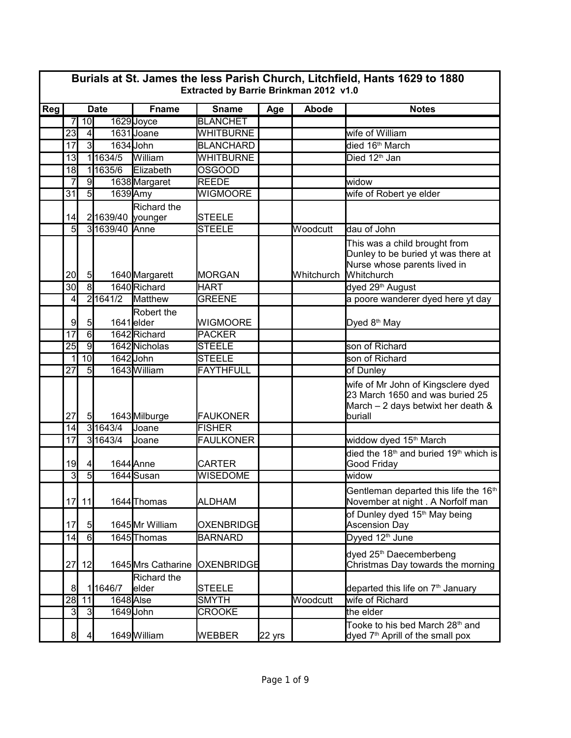|     | Burials at St. James the less Parish Church, Litchfield, Hants 1629 to 1880<br>Extracted by Barrie Brinkman 2012 v1.0 |                 |                  |                         |                   |                  |            |                                                                                                                           |  |  |  |
|-----|-----------------------------------------------------------------------------------------------------------------------|-----------------|------------------|-------------------------|-------------------|------------------|------------|---------------------------------------------------------------------------------------------------------------------------|--|--|--|
| Reg | <b>Date</b>                                                                                                           |                 |                  | <b>Fname</b>            | <b>Sname</b>      | Age              | Abode      | <b>Notes</b>                                                                                                              |  |  |  |
|     | 7                                                                                                                     | 10              |                  | 1629 Joyce              | <b>BLANCHET</b>   |                  |            |                                                                                                                           |  |  |  |
|     | 23                                                                                                                    | $\vert 4 \vert$ |                  | 1631 Joane              | <b>WHITBURNE</b>  |                  |            | wife of William                                                                                                           |  |  |  |
|     | 17                                                                                                                    | $\overline{3}$  |                  | 1634 John               | <b>BLANCHARD</b>  |                  |            | died 16 <sup>th</sup> March                                                                                               |  |  |  |
|     | 13                                                                                                                    |                 | 11634/5          | William                 | <b>WHITBURNE</b>  |                  |            | Died 12 <sup>th</sup> Jan                                                                                                 |  |  |  |
|     | 18                                                                                                                    |                 | 11635/6          | Elizabeth               | <b>OSGOOD</b>     |                  |            |                                                                                                                           |  |  |  |
|     | $\overline{7}$                                                                                                        | $\overline{9}$  |                  | 1638 Margaret           | <b>REEDE</b>      |                  |            | widow                                                                                                                     |  |  |  |
|     | $\overline{31}$                                                                                                       | $\overline{5}$  | 1639 Amy         |                         | <b>WIGMOORE</b>   |                  |            | wife of Robert ye elder                                                                                                   |  |  |  |
|     | 14                                                                                                                    |                 | 21639/40 younger | Richard the             | <b>STEELE</b>     |                  |            |                                                                                                                           |  |  |  |
|     | $\overline{5}$                                                                                                        |                 | 31639/40 Anne    |                         | <b>STEELE</b>     |                  | Woodcutt   | dau of John                                                                                                               |  |  |  |
|     | 20 <sub>l</sub>                                                                                                       | 5               |                  | 1640 Margarett          | <b>MORGAN</b>     |                  | Whitchurch | This was a child brought from<br>Dunley to be buried yt was there at<br>Nurse whose parents lived in<br><b>Whitchurch</b> |  |  |  |
|     | 30                                                                                                                    | $\overline{8}$  |                  | 1640 Richard            | <b>HART</b>       |                  |            | dyed 29 <sup>th</sup> August                                                                                              |  |  |  |
|     | 4                                                                                                                     |                 | 2 1641/2         | Matthew                 | <b>GREENE</b>     |                  |            | a poore wanderer dyed here yt day                                                                                         |  |  |  |
|     | 9                                                                                                                     | 5 <sub>l</sub>  |                  | Robert the<br>1641elder | <b>WIGMOORE</b>   |                  |            | Dyed 8 <sup>th</sup> May                                                                                                  |  |  |  |
|     | $\overline{17}$                                                                                                       | $\overline{6}$  |                  | 1642 Richard            | <b>PACKER</b>     |                  |            |                                                                                                                           |  |  |  |
|     | 25                                                                                                                    | $\overline{9}$  |                  | 1642 Nicholas           | <b>STEELE</b>     |                  |            | son of Richard                                                                                                            |  |  |  |
|     | 1                                                                                                                     | 10              |                  | 1642 John               | <b>STEELE</b>     |                  |            | son of Richard                                                                                                            |  |  |  |
|     | $\overline{27}$                                                                                                       | $\overline{5}$  |                  | 1643 William            | <b>FAYTHFULL</b>  |                  |            | of Dunley                                                                                                                 |  |  |  |
|     | 27                                                                                                                    | 5 <sub>5</sub>  |                  | 1643 Milburge           | <b>FAUKONER</b>   |                  |            | wife of Mr John of Kingsclere dyed<br>23 March 1650 and was buried 25<br>March $-2$ days betwixt her death $8$<br>buriall |  |  |  |
|     | 14                                                                                                                    |                 | 3 1643/4         | Joane                   | <b>FISHER</b>     |                  |            |                                                                                                                           |  |  |  |
|     | 17                                                                                                                    |                 | 3 1643/4         | Joane                   | <b>FAULKONER</b>  |                  |            | widdow dyed 15 <sup>th</sup> March                                                                                        |  |  |  |
|     | 19                                                                                                                    | $\overline{4}$  |                  | 1644 Anne               | <b>CARTER</b>     |                  |            | died the 18 <sup>th</sup> and buried 19 <sup>th</sup> which is<br>Good Friday                                             |  |  |  |
|     | 3                                                                                                                     | $\overline{5}$  |                  | 1644 Susan              | <b>WISEDOME</b>   |                  |            | widow                                                                                                                     |  |  |  |
|     |                                                                                                                       | 17 11           |                  | 1644 Thomas             | ALDHAM            |                  |            | Gentleman departed this life the 16 <sup>th</sup><br>November at night . A Norfolf man                                    |  |  |  |
|     | 17                                                                                                                    | 5 <sub>l</sub>  |                  | 1645 Mr William         | OXENBRIDGE        |                  |            | of Dunley dyed 15 <sup>th</sup> May being<br><b>Ascension Day</b>                                                         |  |  |  |
|     | 14                                                                                                                    | 6               |                  | 1645 Thomas             | <b>BARNARD</b>    |                  |            | Dyyed 12 <sup>th</sup> June                                                                                               |  |  |  |
|     | 27                                                                                                                    | 12              |                  | 1645 Mrs Catharine      | <b>OXENBRIDGE</b> |                  |            | dyed 25 <sup>th</sup> Daecemberbeng<br>Christmas Day towards the morning                                                  |  |  |  |
|     |                                                                                                                       |                 |                  | Richard the             |                   |                  |            |                                                                                                                           |  |  |  |
|     | 8                                                                                                                     |                 | 11646/7          | elder                   | STEELE            |                  |            | departed this life on 7 <sup>th</sup> January                                                                             |  |  |  |
|     | 28                                                                                                                    | 11              | 1648 Alse        |                         | <b>SMYTH</b>      |                  | Woodcutt   | wife of Richard                                                                                                           |  |  |  |
|     | 3                                                                                                                     | 3               |                  | 1649John                | <b>CROOKE</b>     |                  |            | the elder                                                                                                                 |  |  |  |
|     | 8                                                                                                                     | $\overline{4}$  |                  | 1649 William            | <b>WEBBER</b>     | $22 \text{ yrs}$ |            | Tooke to his bed March 28 <sup>th</sup> and<br>dyed 7 <sup>th</sup> Aprill of the small pox                               |  |  |  |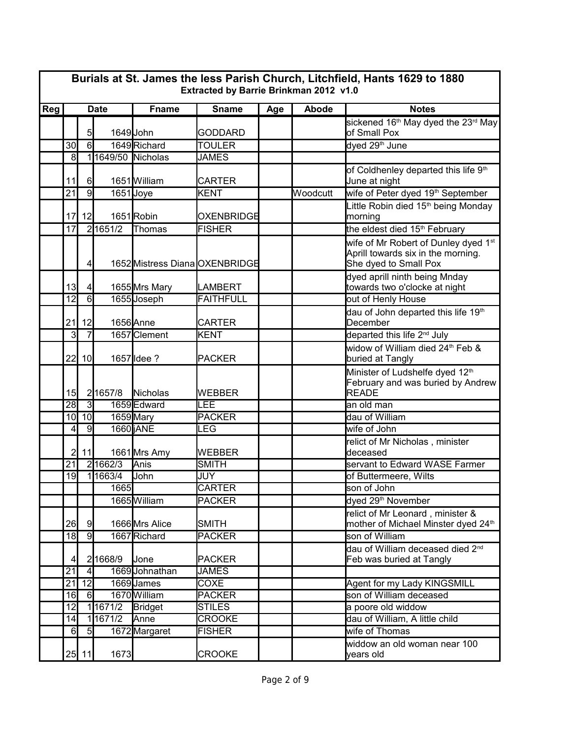|     | Burials at St. James the less Parish Church, Litchfield, Hants 1629 to 1880<br>Extracted by Barrie Brinkman 2012 v1.0 |                 |          |                                |                   |     |          |                                                                                                                 |  |  |  |
|-----|-----------------------------------------------------------------------------------------------------------------------|-----------------|----------|--------------------------------|-------------------|-----|----------|-----------------------------------------------------------------------------------------------------------------|--|--|--|
| Reg | <b>Date</b>                                                                                                           |                 |          | <b>Fname</b>                   | <b>Sname</b>      | Age | Abode    | <b>Notes</b>                                                                                                    |  |  |  |
|     |                                                                                                                       | 5 <sub>l</sub>  |          | 1649John                       | <b>GODDARD</b>    |     |          | sickened 16 <sup>th</sup> May dyed the 23 <sup>rd</sup> May<br>of Small Pox                                     |  |  |  |
|     | 30                                                                                                                    | $\overline{6}$  |          | 1649 Richard                   | <b>TOULER</b>     |     |          | dyed 29 <sup>th</sup> June                                                                                      |  |  |  |
|     | 8                                                                                                                     |                 |          | 1649/50 Nicholas               | <b>JAMES</b>      |     |          |                                                                                                                 |  |  |  |
|     | 11                                                                                                                    | $6 \mid$        |          | 1651 William                   | <b>CARTER</b>     |     |          | of Coldhenley departed this life 9 <sup>th</sup><br>June at night                                               |  |  |  |
|     | 21                                                                                                                    | $\overline{9}$  |          | $1651$ Joye                    | KENT              |     | Woodcutt | wife of Peter dyed 19 <sup>th</sup> September                                                                   |  |  |  |
|     | 17                                                                                                                    | 12              |          | 1651Robin                      | <b>OXENBRIDGE</b> |     |          | Little Robin died 15 <sup>th</sup> being Monday<br>morning                                                      |  |  |  |
|     | 17                                                                                                                    |                 | 2 1651/2 | Thomas                         | <b>FISHER</b>     |     |          | the eldest died 15 <sup>th</sup> February                                                                       |  |  |  |
|     |                                                                                                                       | $\overline{4}$  |          | 1652 Mistress Diana OXENBRIDGE |                   |     |          | wife of Mr Robert of Dunley dyed 1 <sup>st</sup><br>Aprill towards six in the morning.<br>She dyed to Small Pox |  |  |  |
|     | 13 <sub>l</sub>                                                                                                       | $\vert 4 \vert$ |          | 1655 Mrs Mary                  | <b>LAMBERT</b>    |     |          | dyed aprill ninth being Mnday<br>towards two o'clocke at night                                                  |  |  |  |
|     | $\overline{12}$                                                                                                       | $\overline{6}$  |          | 1655 Joseph                    | <b>FAITHFULL</b>  |     |          | out of Henly House                                                                                              |  |  |  |
|     | 21                                                                                                                    | 12              |          | 1656 Anne                      | <b>CARTER</b>     |     |          | dau of John departed this life 19 <sup>th</sup><br>December                                                     |  |  |  |
|     | 3                                                                                                                     | $\overline{7}$  |          | 1657 Clement                   | <b>KENT</b>       |     |          | departed this life 2 <sup>nd</sup> July                                                                         |  |  |  |
|     | 22                                                                                                                    | 10              |          | 1657 Idee ?                    | PACKER            |     |          | widow of William died 24 <sup>th</sup> Feb &<br>buried at Tangly                                                |  |  |  |
|     | 15                                                                                                                    |                 | 21657/8  | Nicholas                       | WEBBER            |     |          | Minister of Ludshelfe dyed 12 <sup>th</sup><br>February and was buried by Andrew<br><b>READE</b>                |  |  |  |
|     | 28                                                                                                                    | $\overline{3}$  |          | 1659 Edward                    | LEE               |     |          | an old man                                                                                                      |  |  |  |
|     | 10 <sup>1</sup>                                                                                                       | 10              |          | 1659 Mary                      | <b>PACKER</b>     |     |          | dau of William                                                                                                  |  |  |  |
|     | 4                                                                                                                     | 9               |          | 1660 jANE                      | LEG               |     |          | wife of John                                                                                                    |  |  |  |
|     | $\overline{2}$                                                                                                        | 11              |          | 1661 Mrs Amy                   | WEBBER            |     |          | relict of Mr Nicholas, minister<br>deceased                                                                     |  |  |  |
|     | $\overline{21}$                                                                                                       | $\overline{2}$  | 1662/3   | Anis                           | <b>SMITH</b>      |     |          | servant to Edward WASE Farmer                                                                                   |  |  |  |
|     | 19                                                                                                                    |                 | 1663/4   | John                           | JUY               |     |          | of Buttermeere, Wilts                                                                                           |  |  |  |
|     |                                                                                                                       |                 | 1665     |                                | <b>CARTER</b>     |     |          | son of John                                                                                                     |  |  |  |
|     |                                                                                                                       |                 |          | 1665William                    | <b>PACKER</b>     |     |          | dyed 29 <sup>th</sup> November                                                                                  |  |  |  |
|     | 26                                                                                                                    | 9               |          | 1666 Mrs Alice                 | <b>SMITH</b>      |     |          | relict of Mr Leonard, minister &<br>mother of Michael Minster dyed 24th                                         |  |  |  |
|     | 18                                                                                                                    | $\overline{9}$  |          | 1667 Richard                   | <b>PACKER</b>     |     |          | son of William                                                                                                  |  |  |  |
|     | 4                                                                                                                     |                 | 21668/9  | <b>Jone</b>                    | <b>PACKER</b>     |     |          | dau of William deceased died 2 <sup>nd</sup><br>Feb was buried at Tangly                                        |  |  |  |
|     | 21                                                                                                                    | $\overline{4}$  |          | 1669Johnathan                  | <b>JAMES</b>      |     |          |                                                                                                                 |  |  |  |
|     | 21                                                                                                                    | 12              |          | 1669James                      | COXE              |     |          | Agent for my Lady KINGSMILL                                                                                     |  |  |  |
|     | 16                                                                                                                    | 6               |          | 1670 William                   | <b>PACKER</b>     |     |          | son of William deceased                                                                                         |  |  |  |
|     | 12                                                                                                                    |                 | 11671/2  | Bridget                        | <b>STILES</b>     |     |          | a poore old widdow                                                                                              |  |  |  |
|     | 14                                                                                                                    |                 | 11671/2  | Anne                           | <b>CROOKE</b>     |     |          | dau of William, A little child                                                                                  |  |  |  |
|     | 6                                                                                                                     | $\overline{5}$  |          | 1672 Margaret                  | <b>FISHER</b>     |     |          | wife of Thomas                                                                                                  |  |  |  |
|     |                                                                                                                       | $25$ 11         | 1673     |                                | <b>CROOKE</b>     |     |          | widdow an old woman near 100<br>years old                                                                       |  |  |  |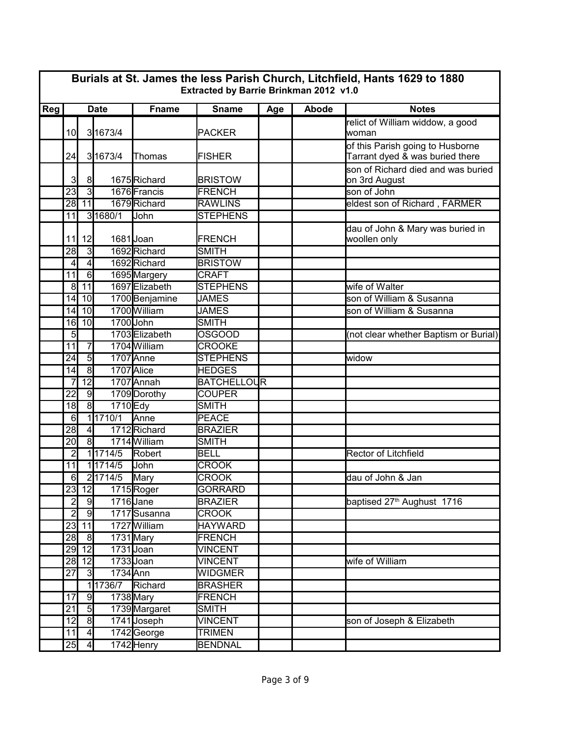|     | Burials at St. James the less Parish Church, Litchfield, Hants 1629 to 1880<br>Extracted by Barrie Brinkman 2012 v1.0 |                     |                  |                |                    |     |       |                                                                     |  |  |  |
|-----|-----------------------------------------------------------------------------------------------------------------------|---------------------|------------------|----------------|--------------------|-----|-------|---------------------------------------------------------------------|--|--|--|
| Reg | <b>Date</b>                                                                                                           |                     |                  | <b>Fname</b>   | <b>Sname</b>       | Age | Abode | <b>Notes</b>                                                        |  |  |  |
|     | 10 <sup>1</sup>                                                                                                       |                     | 3 1673/4         |                | <b>PACKER</b>      |     |       | relict of William widdow, a good<br>lwoman                          |  |  |  |
|     | 24                                                                                                                    |                     | 3 1673/4         | Thomas         | <b>FISHER</b>      |     |       | of this Parish going to Husborne<br>Tarrant dyed & was buried there |  |  |  |
|     | 3                                                                                                                     | 8                   |                  | 1675Richard    | <b>BRISTOW</b>     |     |       | son of Richard died and was buried<br>on 3rd August                 |  |  |  |
|     | $\overline{23}$                                                                                                       | $\overline{3}$      |                  | 1676 Francis   | <b>FRENCH</b>      |     |       | son of John                                                         |  |  |  |
|     | 28                                                                                                                    | 11                  |                  | 1679Richard    | <b>RAWLINS</b>     |     |       | eldest son of Richard, FARMER                                       |  |  |  |
|     | 11                                                                                                                    |                     | 3 1680/1         | <b>John</b>    | <b>STEPHENS</b>    |     |       |                                                                     |  |  |  |
|     | 11                                                                                                                    | 12                  |                  | 1681Joan       | FRENCH             |     |       | dau of John & Mary was buried in<br>woollen only                    |  |  |  |
|     | $\overline{28}$                                                                                                       | $\overline{3}$      |                  | 1692 Richard   | <b>SMITH</b>       |     |       |                                                                     |  |  |  |
|     | 4                                                                                                                     | $\overline{4}$      |                  | 1692 Richard   | <b>BRISTOW</b>     |     |       |                                                                     |  |  |  |
|     | 11                                                                                                                    | $\overline{6}$      |                  | 1695 Margery   | <b>CRAFT</b>       |     |       |                                                                     |  |  |  |
|     | $\overline{8}$                                                                                                        | 11                  |                  | 1697 Elizabeth | <b>STEPHENS</b>    |     |       | wife of Walter                                                      |  |  |  |
|     | 14                                                                                                                    | 10                  |                  | 1700 Benjamine | <b>JAMES</b>       |     |       | son of William & Susanna                                            |  |  |  |
|     | 14                                                                                                                    | 10                  |                  | 1700 William   | <b>JAMES</b>       |     |       | son of William & Susanna                                            |  |  |  |
|     | 16                                                                                                                    | 10                  |                  | 1700 John      | SMITH              |     |       |                                                                     |  |  |  |
|     | 5                                                                                                                     |                     |                  | 1703 Elizabeth | <b>OSGOOD</b>      |     |       | (not clear whether Baptism or Burial)                               |  |  |  |
|     | 11                                                                                                                    | $\overline{7}$      |                  | 1704 William   | <b>CROOKE</b>      |     |       |                                                                     |  |  |  |
|     | 24                                                                                                                    | $\overline{5}$      |                  | 1707 Anne      | <b>STEPHENS</b>    |     |       | widow                                                               |  |  |  |
|     | 14                                                                                                                    | $\infty$            |                  | 1707 Alice     | <b>HEDGES</b>      |     |       |                                                                     |  |  |  |
|     |                                                                                                                       | $\overline{12}$     |                  | 1707 Annah     | <b>BATCHELLOUR</b> |     |       |                                                                     |  |  |  |
|     | $\overline{22}$                                                                                                       | $\overline{9}$      |                  | 1709 Dorothy   | <b>COUPER</b>      |     |       |                                                                     |  |  |  |
|     | 18                                                                                                                    | $\overline{\infty}$ | 1710 Edy         |                | <b>SMITH</b>       |     |       |                                                                     |  |  |  |
|     | 6                                                                                                                     |                     | 11710/1          | <b>Anne</b>    | <b>PEACE</b>       |     |       |                                                                     |  |  |  |
|     | 28                                                                                                                    | $\overline{4}$      |                  | 1712 Richard   | <b>BRAZIER</b>     |     |       |                                                                     |  |  |  |
|     | $\overline{20}$                                                                                                       | $\overline{8}$      |                  | 1714 William   | <b>SMITH</b>       |     |       |                                                                     |  |  |  |
|     | 2                                                                                                                     |                     | 1 1714/5         | Robert         | <b>BELL</b>        |     |       | <b>Rector of Litchfield</b>                                         |  |  |  |
|     | 11                                                                                                                    |                     | 11714/5          | John           | <b>CROOK</b>       |     |       |                                                                     |  |  |  |
|     | 6                                                                                                                     |                     | 2 1714/5         | <b>Mary</b>    | <b>CROOK</b>       |     |       | dau of John & Jan                                                   |  |  |  |
|     |                                                                                                                       |                     | 23 12 1715 Roger |                | <b>GORRARD</b>     |     |       |                                                                     |  |  |  |
|     | $\overline{2}$                                                                                                        | 9                   |                  | $1716$ Jane    | <b>BRAZIER</b>     |     |       | baptised 27 <sup>th</sup> Aughust 1716                              |  |  |  |
|     | $\overline{2}$                                                                                                        | 9                   |                  | 1717Susanna    | <b>CROOK</b>       |     |       |                                                                     |  |  |  |
|     | 23                                                                                                                    | 11                  |                  | 1727 William   | <b>HAYWARD</b>     |     |       |                                                                     |  |  |  |
|     | 28                                                                                                                    | $\overline{8}$      |                  | 1731 Mary      | <b>FRENCH</b>      |     |       |                                                                     |  |  |  |
|     |                                                                                                                       | 29 12               |                  | 1731 Joan      | <b>VINCENT</b>     |     |       |                                                                     |  |  |  |
|     |                                                                                                                       | 28 12               |                  | 1733 Joan      | <b>VINCENT</b>     |     |       | wife of William                                                     |  |  |  |
|     | 27                                                                                                                    | $\mathbf{3}$        | 1734 Ann         |                | <b>WIDGMER</b>     |     |       |                                                                     |  |  |  |
|     |                                                                                                                       |                     | 1 1736/7 Richard |                | <b>BRASHER</b>     |     |       |                                                                     |  |  |  |
|     | 17                                                                                                                    | 9                   |                  | 1738 Mary      | <b>FRENCH</b>      |     |       |                                                                     |  |  |  |
|     | 21                                                                                                                    | 5                   |                  | 1739 Margaret  | <b>SMITH</b>       |     |       |                                                                     |  |  |  |
|     | 12                                                                                                                    | $\overline{8}$      |                  | 1741 Joseph    | <b>VINCENT</b>     |     |       | son of Joseph & Elizabeth                                           |  |  |  |
|     | 11                                                                                                                    | $\overline{4}$      |                  | 1742George     | <b>TRIMEN</b>      |     |       |                                                                     |  |  |  |
|     | 25                                                                                                                    | $\overline{4}$      |                  | 1742 Henry     | <b>BENDNAL</b>     |     |       |                                                                     |  |  |  |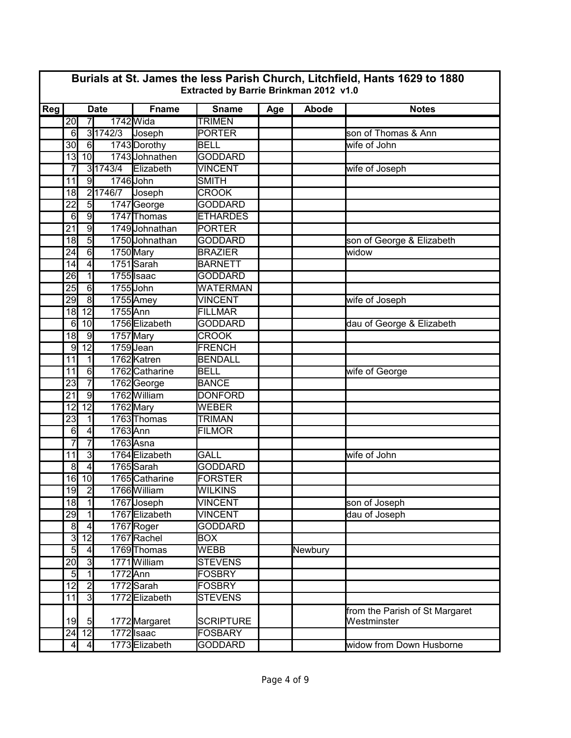|     | Burials at St. James the less Parish Church, Litchfield, Hants 1629 to 1880<br>Extracted by Barrie Brinkman 2012 v1.0 |                         |                |                |                  |     |         |                                               |  |  |  |
|-----|-----------------------------------------------------------------------------------------------------------------------|-------------------------|----------------|----------------|------------------|-----|---------|-----------------------------------------------|--|--|--|
| Reg | <b>Date</b>                                                                                                           |                         |                | <b>Fname</b>   | <b>Sname</b>     | Age | Abode   | <b>Notes</b>                                  |  |  |  |
|     | 20                                                                                                                    | $\overline{7}$          |                | 1742 Wida      | <b>TRIMEN</b>    |     |         |                                               |  |  |  |
|     | 6                                                                                                                     |                         | 3 1742/3       | Joseph         | <b>PORTER</b>    |     |         | son of Thomas & Ann                           |  |  |  |
|     | 30                                                                                                                    | 6                       |                | 1743 Dorothy   | <b>BELL</b>      |     |         | wife of John                                  |  |  |  |
|     | 13                                                                                                                    | 10 <sup>1</sup>         |                | 1743 Johnathen | <b>GODDARD</b>   |     |         |                                               |  |  |  |
|     | 7                                                                                                                     |                         | 3 1743/4       | Elizabeth      | <b>VINCENT</b>   |     |         | wife of Joseph                                |  |  |  |
|     | 11                                                                                                                    | $\overline{9}$          |                | 1746 John      | <b>SMITH</b>     |     |         |                                               |  |  |  |
|     | 18                                                                                                                    |                         | 21746/7 Joseph |                | <b>CROOK</b>     |     |         |                                               |  |  |  |
|     | $\overline{22}$                                                                                                       | 5                       |                | 1747 George    | <b>GODDARD</b>   |     |         |                                               |  |  |  |
|     | 6                                                                                                                     | $\overline{9}$          |                | 1747 Thomas    | <b>ETHARDES</b>  |     |         |                                               |  |  |  |
|     | $\overline{21}$                                                                                                       | $\overline{9}$          |                | 1749 Johnathan | <b>PORTER</b>    |     |         |                                               |  |  |  |
|     | 18                                                                                                                    | $\overline{5}$          |                | 1750 Johnathan | <b>GODDARD</b>   |     |         | son of George & Elizabeth                     |  |  |  |
|     | $\overline{24}$                                                                                                       | 6                       |                | 1750 Mary      | <b>BRAZIER</b>   |     |         | widow                                         |  |  |  |
|     | 14                                                                                                                    | $\overline{4}$          |                | 1751 Sarah     | <b>BARNETT</b>   |     |         |                                               |  |  |  |
|     | $\overline{26}$                                                                                                       | $\overline{1}$          |                | 1755 Isaac     | <b>GODDARD</b>   |     |         |                                               |  |  |  |
|     | 25                                                                                                                    | $6 \overline{}$         |                | 1755 John      | <b>WATERMAN</b>  |     |         |                                               |  |  |  |
|     | 29                                                                                                                    | $\overline{\mathbf{8}}$ |                | 1755 Amey      | <b>VINCENT</b>   |     |         | wife of Joseph                                |  |  |  |
|     | 18                                                                                                                    | $\overline{12}$         | 1755 Ann       |                | <b>FILLMAR</b>   |     |         |                                               |  |  |  |
|     | 6                                                                                                                     | 10                      |                | 1756 Elizabeth | <b>GODDARD</b>   |     |         | dau of George & Elizabeth                     |  |  |  |
|     | 18                                                                                                                    | $\overline{9}$          |                | 1757Mary       | <b>CROOK</b>     |     |         |                                               |  |  |  |
|     | 9                                                                                                                     | $\overline{12}$         |                | 1759Jean       | <b>FRENCH</b>    |     |         |                                               |  |  |  |
|     | 11                                                                                                                    | $\overline{1}$          |                | 1762 Katren    | <b>BENDALL</b>   |     |         |                                               |  |  |  |
|     | 11                                                                                                                    | 6                       |                | 1762 Catharine | <b>BELL</b>      |     |         | wife of George                                |  |  |  |
|     | $\overline{23}$                                                                                                       | $\overline{7}$          |                | 1762George     | <b>BANCE</b>     |     |         |                                               |  |  |  |
|     | 21                                                                                                                    | $\overline{9}$          |                | 1762 William   | <b>DONFORD</b>   |     |         |                                               |  |  |  |
|     | 12                                                                                                                    | $\overline{12}$         |                | 1762 Mary      | <b>WEBER</b>     |     |         |                                               |  |  |  |
|     | 23                                                                                                                    | $\mathbf{1}$            |                | 1763 Thomas    | <b>TRIMAN</b>    |     |         |                                               |  |  |  |
|     | 6                                                                                                                     | $\overline{4}$          | 1763 Ann       |                | <b>FILMOR</b>    |     |         |                                               |  |  |  |
|     |                                                                                                                       | $\overline{7}$          |                | 1763 Asna      |                  |     |         |                                               |  |  |  |
|     | 11                                                                                                                    | دن                      |                | 1764 Elizabeth | <b>GALL</b>      |     |         | wife of John                                  |  |  |  |
|     | $\overline{8}$                                                                                                        | $\overline{4}$          |                | 1765 Sarah     | <b>GODDARD</b>   |     |         |                                               |  |  |  |
|     |                                                                                                                       | 16 10                   |                | 1765 Catharine | <b>FORSTER</b>   |     |         |                                               |  |  |  |
|     | 19                                                                                                                    | $\overline{2}$          |                | 1766 William   | <b>WILKINS</b>   |     |         |                                               |  |  |  |
|     | 18                                                                                                                    | $\overline{1}$          |                | 1767 Joseph    | <b>VINCENT</b>   |     |         | son of Joseph                                 |  |  |  |
|     | 29                                                                                                                    | $\overline{1}$          |                | 1767 Elizabeth | <b>VINCENT</b>   |     |         | dau of Joseph                                 |  |  |  |
|     | 8                                                                                                                     | $\overline{4}$          |                | 1767 Roger     | <b>GODDARD</b>   |     |         |                                               |  |  |  |
|     | 3                                                                                                                     | $\overline{12}$         |                | 1767Rachel     | <b>BOX</b>       |     |         |                                               |  |  |  |
|     | 5                                                                                                                     | $\overline{4}$          |                | 1769 Thomas    | <b>WEBB</b>      |     | Newbury |                                               |  |  |  |
|     | 20                                                                                                                    | $\overline{3}$          |                | 1771 William   | <b>STEVENS</b>   |     |         |                                               |  |  |  |
|     | 5                                                                                                                     | $\overline{1}$          | 1772 Ann       |                | <b>FOSBRY</b>    |     |         |                                               |  |  |  |
|     | 12                                                                                                                    | $\overline{2}$          |                | 1772 Sarah     | <b>FOSBRY</b>    |     |         |                                               |  |  |  |
|     | 11                                                                                                                    | $\overline{3}$          |                | 1772 Elizabeth | <b>STEVENS</b>   |     |         |                                               |  |  |  |
|     | 19                                                                                                                    | $5 \frac{1}{2}$         |                | 1772 Margaret  | <b>SCRIPTURE</b> |     |         | from the Parish of St Margaret<br>Westminster |  |  |  |
|     |                                                                                                                       | $24$ 12                 |                | $1772$ Isaac   | <b>FOSBARY</b>   |     |         |                                               |  |  |  |
|     | $\overline{4}$                                                                                                        | $\vert 4 \vert$         |                | 1773 Elizabeth | GODDARD          |     |         | widow from Down Husborne                      |  |  |  |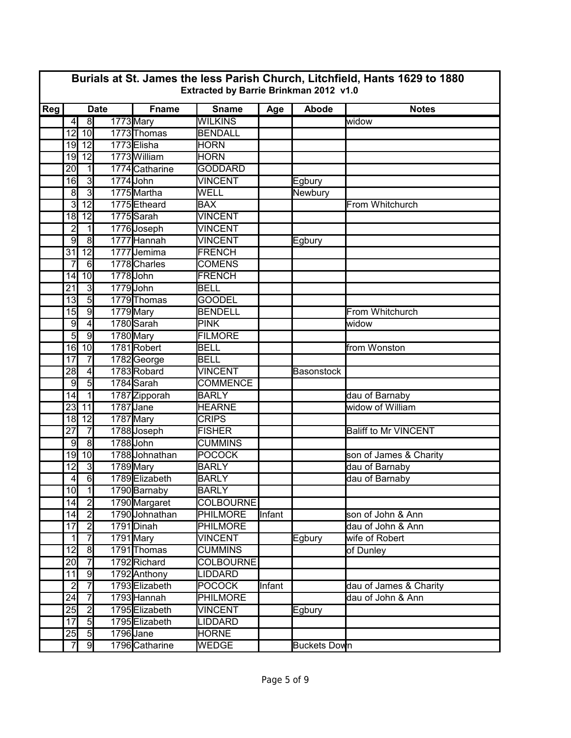|     | Burials at St. James the less Parish Church, Litchfield, Hants 1629 to 1880<br>Extracted by Barrie Brinkman 2012 v1.0 |                                  |             |                                |                                    |        |                   |                                             |  |  |  |
|-----|-----------------------------------------------------------------------------------------------------------------------|----------------------------------|-------------|--------------------------------|------------------------------------|--------|-------------------|---------------------------------------------|--|--|--|
| Reg |                                                                                                                       |                                  | <b>Date</b> | <b>Fname</b>                   | <b>Sname</b>                       | Age    | Abode             | <b>Notes</b>                                |  |  |  |
|     | $\overline{4}$                                                                                                        | $\overline{8}$                   |             | 1773 Mary                      | <b>WILKINS</b>                     |        |                   | widow                                       |  |  |  |
|     | 12                                                                                                                    | 10                               |             | 1773 Thomas                    | <b>BENDALL</b>                     |        |                   |                                             |  |  |  |
|     | 19                                                                                                                    | $\overline{12}$                  |             | 1773 Elisha                    | <b>HORN</b>                        |        |                   |                                             |  |  |  |
|     | 19                                                                                                                    | $\overline{12}$                  |             | 1773 William                   | <b>HORN</b>                        |        |                   |                                             |  |  |  |
|     | 20                                                                                                                    | $\mathbf{1}$                     |             | 1774 Catharine                 | <b>GODDARD</b>                     |        |                   |                                             |  |  |  |
|     | 16                                                                                                                    | 3                                |             | 1774 John                      | <b>VINCENT</b>                     |        | Egbury            |                                             |  |  |  |
|     | 8                                                                                                                     | $\overline{3}$                   |             | 1775 Martha                    | <b>WELL</b>                        |        | Newbury           |                                             |  |  |  |
|     | 3                                                                                                                     | $\overline{12}$                  |             | 1775 Etheard                   | <b>BAX</b>                         |        |                   | From Whitchurch                             |  |  |  |
|     | $\overline{18}$                                                                                                       | $\overline{12}$                  |             | 1775 Sarah                     | <b>VINCENT</b>                     |        |                   |                                             |  |  |  |
|     | $\overline{2}$                                                                                                        | $\mathbf{1}$                     |             | 1776 Joseph                    | <b>VINCENT</b>                     |        |                   |                                             |  |  |  |
|     | 9                                                                                                                     | $\overline{\infty}$              |             | 1777 Hannah                    | <b>VINCENT</b>                     |        | Egbury            |                                             |  |  |  |
|     | $\overline{31}$                                                                                                       | $\overline{12}$                  |             | 1777 Jemima                    | <b>FRENCH</b>                      |        |                   |                                             |  |  |  |
|     | 7                                                                                                                     | 6                                |             | 1778 Charles                   | <b>COMENS</b>                      |        |                   |                                             |  |  |  |
|     | 14                                                                                                                    | 10 <sub>l</sub>                  |             | 1778John                       | <b>FRENCH</b>                      |        |                   |                                             |  |  |  |
|     | 21                                                                                                                    | دی                               |             | 1779John                       | <b>BELL</b>                        |        |                   |                                             |  |  |  |
|     | 13                                                                                                                    | $\overline{5}$                   |             | 1779 Thomas                    | <b>GOODEL</b>                      |        |                   |                                             |  |  |  |
|     | 15                                                                                                                    | $\overline{9}$                   |             | 1779 Mary                      | <b>BENDELL</b>                     |        |                   | From Whitchurch                             |  |  |  |
|     | $\overline{9}$                                                                                                        | $\overline{4}$                   |             | 1780 Sarah                     | <b>PINK</b>                        |        |                   | widow                                       |  |  |  |
|     | $\overline{5}$                                                                                                        | $\overline{9}$                   |             | 1780 Mary                      | <b>FILMORE</b>                     |        |                   |                                             |  |  |  |
|     | 16                                                                                                                    | 10                               |             | 1781Robert                     | <b>BELL</b>                        |        |                   | from Wonston                                |  |  |  |
|     | 17                                                                                                                    | $\overline{7}$                   |             | 1782George                     | <b>BELL</b>                        |        |                   |                                             |  |  |  |
|     | 28                                                                                                                    | $\vert 4 \vert$                  |             | 1783Robard                     | <b>VINCENT</b>                     |        | <b>Basonstock</b> |                                             |  |  |  |
|     | 9                                                                                                                     | $\overline{5}$                   |             | 1784 Sarah                     | <b>COMMENCE</b>                    |        |                   |                                             |  |  |  |
|     | 14                                                                                                                    | $\mathbf{1}$                     |             | 1787 Zipporah                  | <b>BARLY</b>                       |        |                   | dau of Barnaby                              |  |  |  |
|     | $\overline{23}$                                                                                                       | $\overline{11}$                  |             | 1787 Jane                      | <b>HEARNE</b>                      |        |                   | widow of William                            |  |  |  |
|     | 18                                                                                                                    | 12                               |             | 1787 Mary                      | <b>CRIPS</b>                       |        |                   |                                             |  |  |  |
|     | $\overline{27}$                                                                                                       | $\overline{7}$                   |             | 1788Joseph                     | <b>FISHER</b>                      |        |                   | <b>Baliff to Mr VINCENT</b>                 |  |  |  |
|     | 9                                                                                                                     | $\overline{8}$                   |             | 1788 John                      | <b>CUMMINS</b>                     |        |                   |                                             |  |  |  |
|     | 19                                                                                                                    | 10                               |             | 1788 Johnathan                 | <b>POCOCK</b>                      |        |                   | son of James & Charity                      |  |  |  |
|     | $\overline{12}$                                                                                                       | $\overline{3}$                   |             | 1789 Mary                      | <b>BARLY</b>                       |        |                   | dau of Barnaby                              |  |  |  |
|     | 4                                                                                                                     | 6                                |             | 1789 Elizabeth                 | <b>BARLY</b>                       |        |                   | dau of Barnaby                              |  |  |  |
|     | 10                                                                                                                    | $\overline{1}$                   |             | 1790 Barnaby                   | <b>BARLY</b>                       |        |                   |                                             |  |  |  |
|     | 14                                                                                                                    | $\overline{2}$                   |             | 1790 Margaret                  | <b>COLBOURNE</b>                   |        |                   |                                             |  |  |  |
|     | 14                                                                                                                    | $\overline{2}$                   |             | 1790JJohnathan                 | <b>PHILMORE</b>                    | Infant |                   | son of John & Ann                           |  |  |  |
|     | 17                                                                                                                    | $\overline{2}$                   |             | 1791 Dinah                     | PHILMORE                           |        |                   | dau of John & Ann                           |  |  |  |
|     | 1                                                                                                                     | $\overline{7}$                   |             | $1791$ Mary                    | <b>VINCENT</b>                     |        | Egbury            | wife of Robert                              |  |  |  |
|     | 12                                                                                                                    | $\overline{8}$<br>$\overline{7}$ |             | 1791 Thomas                    | CUMMINS                            |        |                   | of Dunley                                   |  |  |  |
|     | 20<br>11                                                                                                              | 9                                |             | 1792 Richard                   | <b>COLBOURNE</b><br><b>LIDDARD</b> |        |                   |                                             |  |  |  |
|     | $\overline{2}$                                                                                                        | $\overline{7}$                   |             | 1792 Anthony<br>1793 Elizabeth | <b>POCOCK</b>                      | Infant |                   |                                             |  |  |  |
|     | $\overline{24}$                                                                                                       | $\overline{7}$                   |             | 1793 Hannah                    | <b>PHILMORE</b>                    |        |                   | dau of James & Charity<br>dau of John & Ann |  |  |  |
|     | 25                                                                                                                    | $\overline{2}$                   |             | 1795 Elizabeth                 | <b>VINCENT</b>                     |        | Egbury            |                                             |  |  |  |
|     | 17                                                                                                                    | $\overline{5}$                   |             | 1795 Elizabeth                 | <b>LIDDARD</b>                     |        |                   |                                             |  |  |  |
|     | 25                                                                                                                    | $\overline{5}$                   |             | 1796 Jane                      | <b>HORNE</b>                       |        |                   |                                             |  |  |  |
|     | 7                                                                                                                     | 9                                |             | 1796 Catharine                 | WEDGE                              |        | Buckets Down      |                                             |  |  |  |
|     |                                                                                                                       |                                  |             |                                |                                    |        |                   |                                             |  |  |  |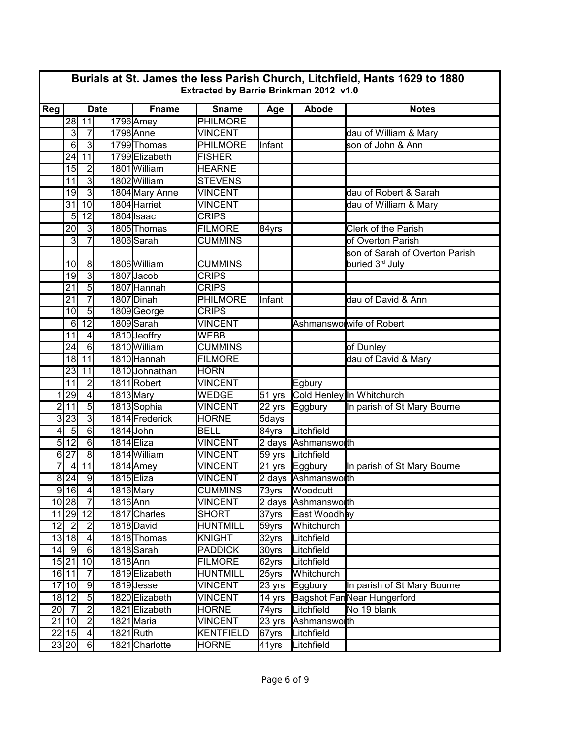|                | Burials at St. James the less Parish Church, Litchfield, Hants 1629 to 1880<br>Extracted by Barrie Brinkman 2012 v1.0 |                     |          |                |                  |                  |                     |                                                               |  |  |
|----------------|-----------------------------------------------------------------------------------------------------------------------|---------------------|----------|----------------|------------------|------------------|---------------------|---------------------------------------------------------------|--|--|
| Reg            | <b>Date</b>                                                                                                           |                     |          | <b>Fname</b>   | <b>Sname</b>     | Age              | Abode               | <b>Notes</b>                                                  |  |  |
|                | 28                                                                                                                    | 11                  |          | 1796 Amey      | <b>PHILMORE</b>  |                  |                     |                                                               |  |  |
|                | دن                                                                                                                    | $\overline{7}$      |          | 1798 Anne      | <b>VINCENT</b>   |                  |                     | dau of William & Mary                                         |  |  |
|                | $6\phantom{1}6$                                                                                                       | دى                  |          | 1799 Thomas    | <b>PHILMORE</b>  | Infant           |                     | son of John & Ann                                             |  |  |
|                | 24                                                                                                                    | $\overline{11}$     |          | 1799 Elizabeth | <b>FISHER</b>    |                  |                     |                                                               |  |  |
|                | 15                                                                                                                    | $\overline{2}$      |          | 1801 William   | <b>HEARNE</b>    |                  |                     |                                                               |  |  |
|                | 11                                                                                                                    | $\overline{3}$      |          | 1802 William   | <b>STEVENS</b>   |                  |                     |                                                               |  |  |
|                | 19                                                                                                                    | $\overline{3}$      |          | 1804 Mary Anne | <b>VINCENT</b>   |                  |                     | dau of Robert & Sarah                                         |  |  |
|                | $\overline{31}$                                                                                                       | 10                  |          | 1804 Harriet   | <b>VINCENT</b>   |                  |                     | dau of William & Mary                                         |  |  |
|                | 5                                                                                                                     | $\overline{12}$     |          | 1804 Isaac     | <b>CRIPS</b>     |                  |                     |                                                               |  |  |
|                | $\overline{20}$                                                                                                       | $\overline{3}$      |          | 1805 Thomas    | <b>FILMORE</b>   | 84yrs            |                     | <b>Clerk of the Parish</b>                                    |  |  |
|                | 3                                                                                                                     | 7                   |          | 1806 Sarah     | <b>CUMMINS</b>   |                  |                     | of Overton Parish                                             |  |  |
|                | 10 <sup>1</sup>                                                                                                       | 8                   |          | 1806 William   | <b>CUMMINS</b>   |                  |                     | son of Sarah of Overton Parish<br>buried 3 <sup>rd</sup> July |  |  |
|                | 19                                                                                                                    | $\overline{3}$      |          | 1807 Jacob     | <b>CRIPS</b>     |                  |                     |                                                               |  |  |
|                | $\overline{21}$                                                                                                       | $\overline{5}$      |          | 1807 Hannah    | <b>CRIPS</b>     |                  |                     |                                                               |  |  |
|                | $\overline{21}$                                                                                                       | $\overline{7}$      |          | 1807 Dinah     | <b>PHILMORE</b>  | Infant           |                     | dau of David & Ann                                            |  |  |
|                | 10                                                                                                                    | $\overline{5}$      |          | 1809George     | <b>CRIPS</b>     |                  |                     |                                                               |  |  |
|                | 6                                                                                                                     | $\overline{12}$     |          | 1809 Sarah     | <b>VINCENT</b>   |                  |                     | Ashmanswolwife of Robert                                      |  |  |
|                | $\overline{11}$                                                                                                       | 4                   |          | 1810 Jeoffry   | <b>WEBB</b>      |                  |                     |                                                               |  |  |
|                | $\overline{24}$                                                                                                       | 6                   |          | 1810 William   | <b>CUMMINS</b>   |                  |                     | of Dunley                                                     |  |  |
|                | 18                                                                                                                    | 11                  |          | 1810 Hannah    | <b>FILMORE</b>   |                  |                     | dau of David & Mary                                           |  |  |
|                | $\overline{23}$                                                                                                       | 11                  |          | 1810 Johnathan | <b>HORN</b>      |                  |                     |                                                               |  |  |
|                | 11                                                                                                                    | $\overline{2}$      |          | 1811 Robert    | <b>VINCENT</b>   |                  | Egbury              |                                                               |  |  |
| 1              | $\overline{29}$                                                                                                       | $\vert 4 \vert$     |          | 1813 Mary      | <b>WEDGE</b>     | $51$ yrs         |                     | Cold Henley In Whitchurch                                     |  |  |
| $\overline{c}$ | $\overline{11}$                                                                                                       | $\overline{5}$      |          | 1813 Sophia    | <b>VINCENT</b>   | 22 yrs           | Eggbury             | In parish of St Mary Bourne                                   |  |  |
| 3              | 23                                                                                                                    | 3                   |          | 1814 Frederick | <b>HORNE</b>     | 5days            |                     |                                                               |  |  |
| 4              | $\overline{5}$                                                                                                        | $\overline{6}$      |          | 1814 John      | <b>BELL</b>      | 84yrs            | Litchfield          |                                                               |  |  |
| $\overline{5}$ | $\overline{12}$                                                                                                       | $\overline{6}$      |          | 1814 Eliza     | <b>VINCENT</b>   |                  | 2 days Ashmansworth |                                                               |  |  |
| $\overline{6}$ | $\overline{27}$                                                                                                       | $\overline{\infty}$ |          | 1814 William   | <b>VINCENT</b>   |                  | 59 yrs Litchfield   |                                                               |  |  |
| 7              | $\overline{4}$                                                                                                        | 11                  |          | 1814 Amey      | <b>VINCENT</b>   |                  | 21 yrs Eggbury      | In parish of St Mary Bourne                                   |  |  |
| $\overline{8}$ | 24                                                                                                                    | $\overline{9}$      |          | 1815 Eliza     | <b>VINCENT</b>   |                  | 2 days Ashmansworth |                                                               |  |  |
|                | $9$ 16                                                                                                                | $\overline{4}$      |          | 1816 Mary      | <b>CUMMINS</b>   | 73yrs            | Woodcutt            |                                                               |  |  |
|                | $10$ 28                                                                                                               | -7                  | 1816 Ann |                | <b>VINCENT</b>   |                  | 2 days Ashmansworth |                                                               |  |  |
|                |                                                                                                                       | 11 29 12            |          | 1817 Charles   | SHORT            | 37yrs            | East Woodhay        |                                                               |  |  |
| 12             | <u>ر</u>                                                                                                              | $\overline{2}$      |          | 1818 David     | <b>HUNTMILL</b>  | 59yrs            | Whitchurch          |                                                               |  |  |
|                | $13$ 18                                                                                                               | $\overline{4}$      |          | 1818 Thomas    | KNIGHT           | 32yrs            | Litchfield          |                                                               |  |  |
| 14             | - 9                                                                                                                   | 6                   |          | 1818 Sarah     | <b>PADDICK</b>   | 30yrs            | Litchfield          |                                                               |  |  |
|                | 15 21                                                                                                                 | 10                  | 1818 Ann |                | <b>FILMORE</b>   | 62yrs            | Litchfield          |                                                               |  |  |
|                | $16$ 11                                                                                                               | $\overline{7}$      |          | 1819 Elizabeth | <b>HUNTMILL</b>  | 25yrs            | Whitchurch          |                                                               |  |  |
|                | 17 10                                                                                                                 | $\overline{9}$      |          | 1819Jesse      | <b>VINCENT</b>   | $23 \text{ yrs}$ | Eggbury             | In parish of St Mary Bourne                                   |  |  |
|                | $18$ 12                                                                                                               | $\overline{5}$      |          | 1820 Elizabeth | <b>VINCENT</b>   | 14 yrs           |                     | <b>Bagshot Far Near Hungerford</b>                            |  |  |
|                | $20$ 7                                                                                                                | $\overline{2}$      |          | 1821 Elizabeth | <b>HORNE</b>     | 74yrs            | Litchfield          | No 19 blank                                                   |  |  |
|                | $21$ 10                                                                                                               | $\overline{2}$      |          | 1821 Maria     | <b>VINCENT</b>   | 23 yrs           | Ashmansworth        |                                                               |  |  |
|                | $22$ 15                                                                                                               | $\overline{4}$      |          | 1821Ruth       | <b>KENTFIELD</b> | 67yrs            | Litchfield          |                                                               |  |  |
|                | $\overline{23}$ 20                                                                                                    | 6                   |          | 1821 Charlotte | <b>HORNE</b>     | 41yrs            | Litchfield          |                                                               |  |  |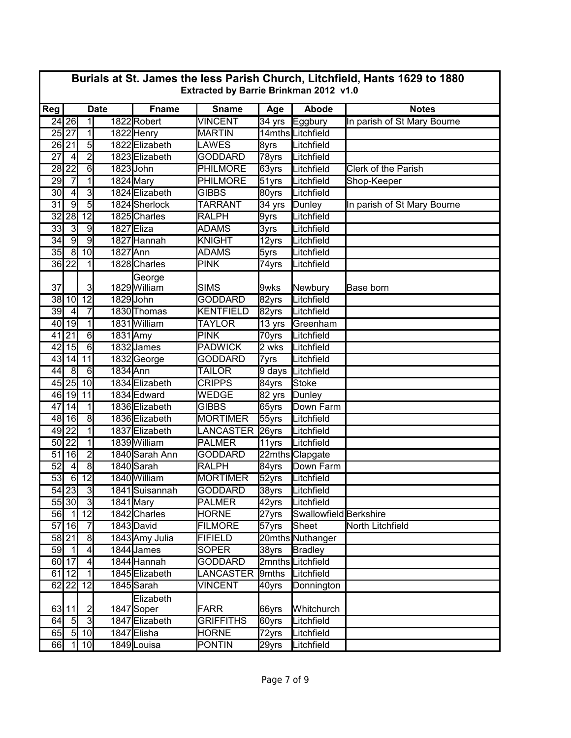|                 | Burials at St. James the less Parish Church, Litchfield, Hants 1629 to 1880<br>Extracted by Barrie Brinkman 2012 v1.0 |                                  |             |                              |                                    |                     |                          |                             |  |  |  |
|-----------------|-----------------------------------------------------------------------------------------------------------------------|----------------------------------|-------------|------------------------------|------------------------------------|---------------------|--------------------------|-----------------------------|--|--|--|
| Reg             |                                                                                                                       |                                  | <b>Date</b> | <b>Fname</b>                 | <b>Sname</b>                       | Age                 | <b>Abode</b>             | <b>Notes</b>                |  |  |  |
|                 | 24 26                                                                                                                 | $\overline{1}$                   |             | 1822 Robert                  | <b>VINCENT</b>                     | $\overline{34}$ yrs | Eggbury                  | In parish of St Mary Bourne |  |  |  |
|                 | 25 27                                                                                                                 | $\overline{1}$                   |             | 1822 Henry                   | <b>MARTIN</b>                      |                     | 14mths Litchfield        |                             |  |  |  |
|                 | 26 21                                                                                                                 | $\overline{5}$                   |             | 1822 Elizabeth               | <b>LAWES</b>                       | 8yrs                | Litchfield               |                             |  |  |  |
| 27              | $\overline{4}$                                                                                                        | $\overline{2}$                   |             | 1823 Elizabeth               | <b>GODDARD</b>                     | 78yrs               | Litchfield               |                             |  |  |  |
| 28              | $\overline{22}$                                                                                                       | 6                                |             | 1823John                     | <b>PHILMORE</b>                    | 63yrs               | Litchfield               | Clerk of the Parish         |  |  |  |
| 29              |                                                                                                                       | $\overline{1}$                   |             | 1824 Mary                    | <b>PHILMORE</b>                    | 51yrs               | Litchfield               | Shop-Keeper                 |  |  |  |
| $\overline{30}$ | $\overline{4}$                                                                                                        | $\overline{3}$                   |             | 1824 Elizabeth               | <b>GIBBS</b>                       | 80yrs               | Litchfield               |                             |  |  |  |
| $\overline{31}$ | $\overline{9}$                                                                                                        | $\overline{5}$                   |             | 1824 Sherlock                | <b>TARRANT</b>                     | 34 yrs              | Dunley                   | In parish of St Mary Bourne |  |  |  |
| 32              | 28                                                                                                                    | $\overline{12}$                  |             | 1825 Charles                 | <b>RALPH</b>                       | 9yrs                | Litchfield               |                             |  |  |  |
| $\overline{33}$ | دی                                                                                                                    | $\overline{9}$                   |             | 1827 Eliza                   | <b>ADAMS</b>                       | 3yrs                | Litchfield               |                             |  |  |  |
| 34              | g                                                                                                                     | $\overline{9}$                   |             | 1827 Hannah                  | <b>KNIGHT</b>                      | 12yrs               | Litchfield               |                             |  |  |  |
| 35              | $\overline{8}$                                                                                                        | 10                               | 1827 Ann    |                              | <b>ADAMS</b>                       | 5yrs                | Litchfield               |                             |  |  |  |
|                 | $36$   22                                                                                                             | 1                                |             | 1828 Charles                 | <b>PINK</b>                        | 74yrs               | Litchfield               |                             |  |  |  |
| 37              |                                                                                                                       | $\overline{3}$                   |             | George<br>1829 William       | <b>SIMS</b>                        | 9wks                | Newbury                  | Base born                   |  |  |  |
| 38              | 10                                                                                                                    | $\overline{12}$                  |             | 1829John                     | <b>GODDARD</b>                     | 82yrs               | Litchfield               |                             |  |  |  |
| 39              | $\overline{4}$                                                                                                        | $\overline{7}$                   |             | 1830 Thomas                  | <b>KENTFIELD</b>                   | 82yrs               | Litchfield               |                             |  |  |  |
| 40              | 19                                                                                                                    | $\overline{1}$                   |             | 1831 William                 | <b>TAYLOR</b>                      | 13 yrs              | Greenham                 |                             |  |  |  |
| 41              | $\overline{21}$                                                                                                       | $\overline{6}$                   | 1831 Amy    |                              | <b>PINK</b>                        | 70yrs               | Litchfield               |                             |  |  |  |
|                 | 42 15                                                                                                                 | 6                                |             | 1832 James                   | <b>PADWICK</b>                     | 2 wks               | Litchfield               |                             |  |  |  |
| 43              | 14                                                                                                                    | 11                               |             | 1832George                   | <b>GODDARD</b>                     | 7yrs                | Litchfield               |                             |  |  |  |
| 44              | ം                                                                                                                     | 6                                | 1834 Ann    |                              | <b>TAILOR</b>                      | 9 days              | Litchfield               |                             |  |  |  |
|                 | 45 25                                                                                                                 | 10                               |             | 1834 Elizabeth               | <b>CRIPPS</b>                      | 84yrs               | <b>Stoke</b>             |                             |  |  |  |
|                 | $46$   19                                                                                                             | 11                               |             | 1834 Edward                  | WEDGE                              | $\overline{82}$ yrs | Dunley                   |                             |  |  |  |
| 47              | 14                                                                                                                    | $\overline{1}$                   |             | 1836 Elizabeth               | <b>GIBBS</b>                       | 65yrs               | Down Farm                |                             |  |  |  |
|                 | 48 16                                                                                                                 | $\infty$                         |             | 1836 Elizabeth               | <b>MORTIMER</b>                    | 55yrs               | Litchfield               |                             |  |  |  |
|                 | $49$ 22                                                                                                               | $\overline{1}$                   |             | 1837 Elizabeth               | <b>LANCASTER</b>                   | 26yrs               | Litchfield               |                             |  |  |  |
|                 | $50\overline{22}$                                                                                                     | $\overline{1}$                   |             | 1839 William                 | <b>PALMER</b>                      | 11yrs               | Litchfield               |                             |  |  |  |
| 51              | 16                                                                                                                    | $\overline{2}$                   |             | 1840 Sarah Ann               | <b>GODDARD</b>                     |                     | 22mths Clapgate          |                             |  |  |  |
| $\overline{52}$ | $\overline{4}$                                                                                                        | $\overline{8}$                   |             | 1840 Sarah                   | <b>RALPH</b>                       | 84yrs               | Down Farm                |                             |  |  |  |
| 53              | 6                                                                                                                     | $\overline{12}$                  |             | 1840 William                 | <b>MORTIMER</b>                    | $\overline{52}$ yrs | Litchfield               |                             |  |  |  |
|                 | $54$ 23                                                                                                               | $\overline{3}$                   |             | 1841 Suisannah               | <b>GODDARD</b>                     | 38yrs               | Litchfield               |                             |  |  |  |
|                 | 55 30                                                                                                                 | $\overline{3}$                   |             | 1841 Mary                    | <b>PALMER</b>                      | $42$ yrs            | Litchfield               |                             |  |  |  |
| 56              | $\overline{1}$                                                                                                        | 12                               |             | 1842 Charles                 | <b>HORNE</b>                       | 27yrs               | Swallowfield Berkshire   |                             |  |  |  |
| 57              | 16                                                                                                                    | $\overline{7}$                   |             | 1843 David                   | <b>FILMORE</b>                     | 57yrs               | Sheet                    | North Litchfield            |  |  |  |
|                 | 58 21                                                                                                                 | $\overline{8}$                   |             | 1843 Amy Julia               | <b>FIFIELD</b>                     |                     | 20mths Nuthanger         |                             |  |  |  |
| 59              | $\overline{1}$                                                                                                        | $\overline{\mathbf{r}}$          |             | 1844 James                   | <b>SOPER</b>                       | 38yrs               | <b>Bradley</b>           |                             |  |  |  |
|                 | 60 17<br>$\overline{12}$                                                                                              | $\overline{4}$<br>$\overline{1}$ |             | 1844 Hannah                  | <b>GODDARD</b>                     | 9mths               | 2mnths Litchfield        |                             |  |  |  |
| 61              | $62$   22                                                                                                             | $\overline{12}$                  |             | 1845 Elizabeth<br>1845 Sarah | <b>LANCASTER</b><br><b>VINCENT</b> |                     | Litchfield               |                             |  |  |  |
|                 |                                                                                                                       |                                  |             |                              |                                    | 40yrs               | Donnington               |                             |  |  |  |
|                 | 63 11                                                                                                                 |                                  |             | Elizabeth<br>1847Soper       | <b>FARR</b>                        |                     |                          |                             |  |  |  |
| 64              | $\overline{5}$                                                                                                        | $\mathbf{2}$<br>$\overline{3}$   |             | 1847 Elizabeth               | <b>GRIFFITHS</b>                   | 66yrs<br>60yrs      | Whitchurch<br>Litchfield |                             |  |  |  |
| 65              | $\overline{5}$                                                                                                        | 10                               |             | 1847 Elisha                  | <b>HORNE</b>                       |                     | Litchfield               |                             |  |  |  |
| 66              | $\vert$ 1                                                                                                             | 10                               |             | 1849 Louisa                  | PONTIN                             | 72yrs               | Litchfield               |                             |  |  |  |
|                 |                                                                                                                       |                                  |             |                              |                                    | 29yrs               |                          |                             |  |  |  |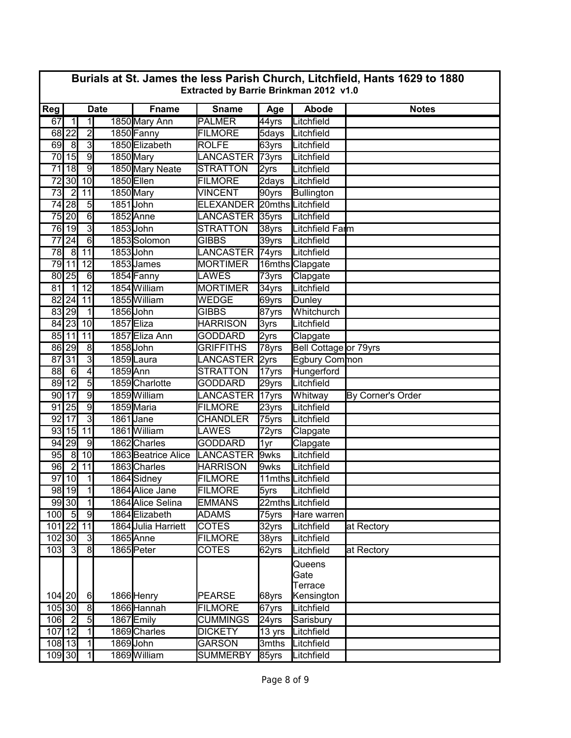|                 | Burials at St. James the less Parish Church, Litchfield, Hants 1629 to 1880<br>Extracted by Barrie Brinkman 2012 v1.0 |                          |             |                     |                        |          |                                         |                   |  |  |  |
|-----------------|-----------------------------------------------------------------------------------------------------------------------|--------------------------|-------------|---------------------|------------------------|----------|-----------------------------------------|-------------------|--|--|--|
| Reg             |                                                                                                                       |                          | <b>Date</b> | <b>Fname</b>        | <b>Sname</b>           | Age      | Abode                                   | <b>Notes</b>      |  |  |  |
| 67              | $\overline{1}$                                                                                                        | $\overline{1}$           |             | 1850 Mary Ann       | <b>PALMER</b>          | 44yrs    | Litchfield                              |                   |  |  |  |
|                 | 68 22                                                                                                                 | $\overline{2}$           |             | 1850 Fanny          | <b>FILMORE</b>         | 5days    | Litchfield                              |                   |  |  |  |
| 69              | 8                                                                                                                     | $\overline{3}$           |             | 1850 Elizabeth      | <b>ROLFE</b>           | 63yrs    | Litchfield                              |                   |  |  |  |
| 70              | 15                                                                                                                    | $\overline{9}$           |             | 1850 Mary           | LANCASTER 73yrs        |          | Litchfield                              |                   |  |  |  |
| $\overline{71}$ | $\overline{18}$                                                                                                       | g                        |             | 1850 Mary Neate     | <b>STRATTON</b>        | 2yrs     | Litchfield                              |                   |  |  |  |
| 72              | 30                                                                                                                    | 10                       |             | 1850Ellen           | <b>FILMORE</b>         | 2days    | Litchfield                              |                   |  |  |  |
| 73              | $\overline{2}$                                                                                                        | 11                       |             | 1850 Mary           | <b>VINCENT</b>         | 90yrs    | Bullington                              |                   |  |  |  |
| 74              | $\overline{28}$                                                                                                       | $\overline{5}$           |             | 1851 John           | <b>ELEXANDER</b>       |          | 20mths Litchfield                       |                   |  |  |  |
| 75              | $\overline{20}$                                                                                                       | $\overline{6}$           |             | 1852 Anne           | <b>LANCASTER</b>       | 35yrs    | Litchfield                              |                   |  |  |  |
|                 | 76 19                                                                                                                 | $\overline{3}$           |             | 1853John            | <b>STRATTON</b>        | 38yrs    | Litchfield Farm                         |                   |  |  |  |
| 77              | $\overline{24}$                                                                                                       | 6                        |             | 1853 Solomon        | <b>GIBBS</b>           | 39yrs    | Litchfield                              |                   |  |  |  |
| 78              | $\overline{8}$                                                                                                        | 11                       |             | 1853 John           | <b>LANCASTER</b> 74yrs |          | Litchfield                              |                   |  |  |  |
| 79              | 11                                                                                                                    | 12                       |             | 1853James           | <b>MORTIMER</b>        |          | 16mths Clapgate                         |                   |  |  |  |
| 80              | 25                                                                                                                    | 6                        |             | 1854 Fanny          | <b>LAWES</b>           | 73yrs    | Clapgate                                |                   |  |  |  |
| 81              | $\overline{1}$                                                                                                        | $\overline{12}$          |             | 1854 William        | <b>MORTIMER</b>        | $34$ yrs | Litchfield                              |                   |  |  |  |
|                 | $82$ 24                                                                                                               | 11                       |             | 1855 William        | WEDGE                  | 69yrs    | Dunley                                  |                   |  |  |  |
|                 | 83 29                                                                                                                 | $\overline{1}$           |             | 1856 John           | <b>GIBBS</b>           | 87yrs    | Whitchurch                              |                   |  |  |  |
|                 | 84 23                                                                                                                 | 10                       |             | 1857 Eliza          | <b>HARRISON</b>        | 3yrs     | Litchfield                              |                   |  |  |  |
|                 | 85 11                                                                                                                 | 11                       |             | 1857 Eliza Ann      | <b>GODDARD</b>         | 2yrs     | Clapgate                                |                   |  |  |  |
|                 | $86$   29                                                                                                             | $\overline{8}$           |             | 1858 John           | <b>GRIFFITHS</b>       | 78yrs    | Bell Cottage or 79yrs                   |                   |  |  |  |
| 87              | $\overline{31}$                                                                                                       | $\overline{3}$           |             | 1859Laura           | <b>LANCASTER</b>       | 2yrs     | Egbury Common                           |                   |  |  |  |
| 88              | $6\phantom{.}6$                                                                                                       | $\overline{4}$           | 1859 Ann    |                     | <b>STRATTON</b>        | 17yrs    | Hungerford                              |                   |  |  |  |
| 89              | $\overline{12}$                                                                                                       | $\overline{5}$           |             | 1859 Charlotte      | <b>GODDARD</b>         | 29yrs    | Litchfield                              |                   |  |  |  |
| 90 <sub>l</sub> | $\overline{17}$                                                                                                       | $\overline{9}$           |             | 1859 William        | <b>LANCASTER</b>       | 17yrs    | Whitway                                 | By Corner's Order |  |  |  |
|                 | $91$ 25                                                                                                               | $\overline{9}$           |             | 1859 Maria          | <b>FILMORE</b>         | 23yrs    | Litchfield                              |                   |  |  |  |
| 92              | $\overline{17}$                                                                                                       | $\overline{3}$           |             | 1861 Jane           | <b>CHANDLER</b>        | 75yrs    | Litchfield                              |                   |  |  |  |
| 93              | 15                                                                                                                    | 11                       |             | 1861 William        | <b>LAWES</b>           | 72yrs    | Clapgate                                |                   |  |  |  |
| 94              | 29                                                                                                                    | $\overline{9}$           |             | 1862 Charles        | <b>GODDARD</b>         | 1yr      | Clapgate                                |                   |  |  |  |
| 95              | $\overline{8}$                                                                                                        | 10                       |             | 1863 Beatrice Alice | LANCASTER              | 9wks     | Litchfield                              |                   |  |  |  |
| 96              | $\overline{2}$                                                                                                        | 11                       |             | 1863 Charles        | <b>HARRISON</b>        | 9wks     | Litchfield                              |                   |  |  |  |
| 97              | 10                                                                                                                    | 1                        |             | 1864 Sidney         | <b>FILMORE</b>         |          | 11mths Litchfield                       |                   |  |  |  |
|                 | 98 19                                                                                                                 | $\overline{1}$           |             | 1864 Alice Jane     | <b>FILMORE</b>         | 5yrs     | Litchfield                              |                   |  |  |  |
|                 | 99 30                                                                                                                 | $\overline{1}$           |             | 1864 Alice Selina   | <b>EMMANS</b>          |          | 22mths Litchfield                       |                   |  |  |  |
| 100             | 5                                                                                                                     | 9                        |             | 1864 Elizabeth      | <b>ADAMS</b>           | 75yrs    | Hare warren                             |                   |  |  |  |
| 101 22          |                                                                                                                       | 11                       |             | 1864 Julia Harriett | <b>COTES</b>           | 32yrs    | Litchfield                              | at Rectory        |  |  |  |
| 102 30          |                                                                                                                       | $\overline{3}$           |             | 1865Anne            | FILMORE                | 38yrs    | Litchfield                              |                   |  |  |  |
| 103             | კ                                                                                                                     | $\overline{\mathbf{8}}$  |             | 1865 Peter          | <b>COTES</b>           | 62yrs    | Litchfield                              | at Rectory        |  |  |  |
| 104 20          |                                                                                                                       | 6                        |             | 1866 Henry          | <b>PEARSE</b>          | 68yrs    | Queens<br>Gate<br>Terrace<br>Kensington |                   |  |  |  |
| 105 30          |                                                                                                                       | $\overline{8}$           |             | 1866 Hannah         | <b>FILMORE</b>         | 67yrs    | Litchfield                              |                   |  |  |  |
| $106$ 2         |                                                                                                                       | $\overline{5}$           |             | 1867 Emily          | <b>CUMMINGS</b>        | 24yrs    | Sarisbury                               |                   |  |  |  |
| 107 12          |                                                                                                                       | $\overline{\phantom{0}}$ |             | 1869 Charles        | <b>DICKETY</b>         | 13 yrs   | Litchfield                              |                   |  |  |  |
| 108 13          |                                                                                                                       | 1                        |             | 1869John            | <b>GARSON</b>          | 3mths    | Litchfield                              |                   |  |  |  |
| $109$ $30$      |                                                                                                                       | $\overline{1}$           |             | 1869 William        | <b>SUMMERBY</b>        | 85yrs    | Litchfield                              |                   |  |  |  |